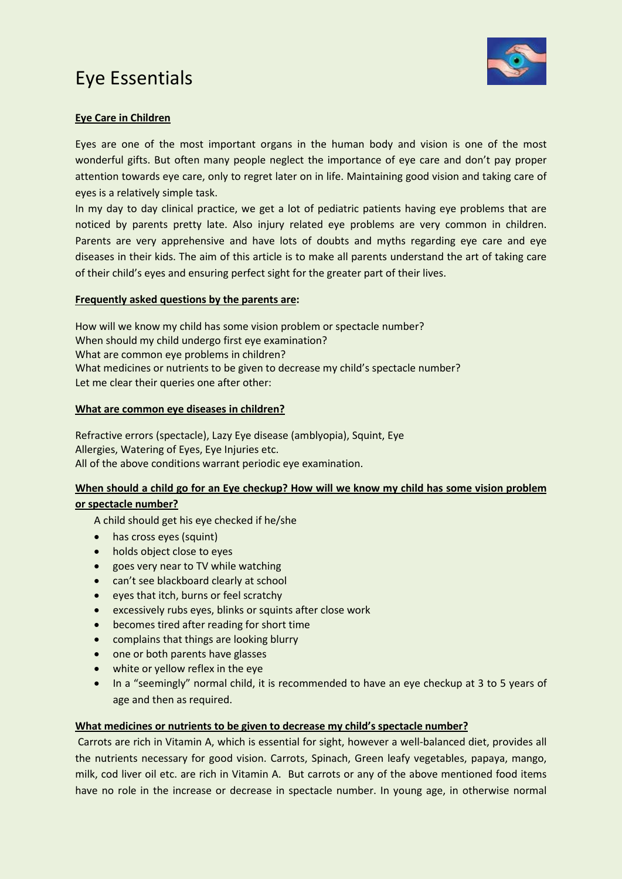# Eye Essentials



## **Eye Care in Children**

Eyes are one of the most important organs in the human body and vision is one of the most wonderful gifts. But often many people neglect the importance of eye care and don't pay proper attention towards eye care, only to regret later on in life. Maintaining good vision and taking care of eyes is a relatively simple task.

In my day to day clinical practice, we get a lot of pediatric patients having eye problems that are noticed by parents pretty late. Also injury related eye problems are very common in children. Parents are very apprehensive and have lots of doubts and myths regarding eye care and eye diseases in their kids. The aim of this article is to make all parents understand the art of taking care of their child's eyes and ensuring perfect sight for the greater part of their lives.

### **Frequently asked questions by the parents are:**

How will we know my child has some vision problem or spectacle number? When should my child undergo first eye examination? What are common eye problems in children? What medicines or nutrients to be given to decrease my child's spectacle number? Let me clear their queries one after other:

#### **What are common eye diseases in children?**

Refractive errors (spectacle), Lazy Eye disease (amblyopia), Squint, Eye Allergies, Watering of Eyes, Eye Injuries etc. All of the above conditions warrant periodic eye examination.

### **When should a child go for an Eye checkup? How will we know my child has some vision problem**

#### **or spectacle number?**

A child should get his eye checked if he/she

- has cross eyes (squint)
- holds object close to eyes
- goes very near to TV while watching
- can't see blackboard clearly at school
- eyes that itch, burns or feel scratchy
- excessively rubs eyes, blinks or squints after close work
- becomes tired after reading for short time
- complains that things are looking blurry
- one or both parents have glasses
- white or yellow reflex in the eye
- In a "seemingly" normal child, it is recommended to have an eye checkup at 3 to 5 years of age and then as required.

#### **What medicines or nutrients to be given to decrease my child's spectacle number?**

Carrots are rich in Vitamin A, which is essential for sight, however a well-balanced diet, provides all the nutrients necessary for good vision. Carrots, Spinach, Green leafy vegetables, papaya, mango, milk, cod liver oil etc. are rich in Vitamin A. But carrots or any of the above mentioned food items have no role in the increase or decrease in spectacle number. In young age, in otherwise normal